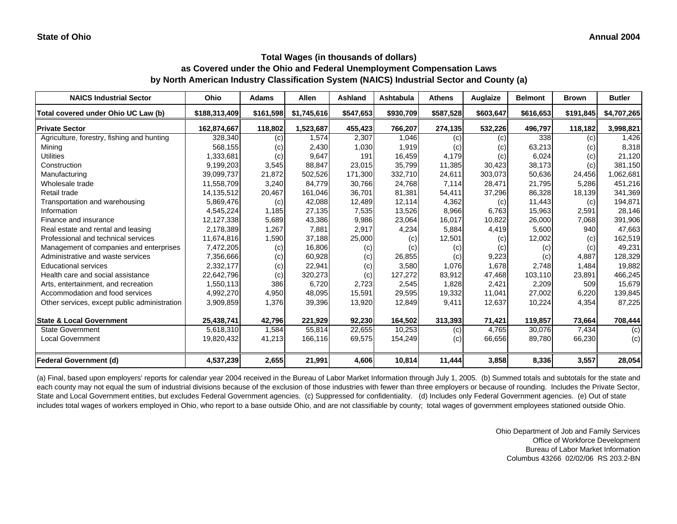### **Total Wages (in thousands of dollars)**

**as Covered under the Ohio and Federal Unemployment Compensation Laws by North American Industry Classification System (NAICS) Industrial Sector and County (a)**

| <b>NAICS Industrial Sector</b>               | Ohio          | <b>Adams</b> | <b>Allen</b> | <b>Ashland</b> | Ashtabula | Athens    | Auglaize  | <b>Belmont</b> | <b>Brown</b> | <b>Butler</b> |
|----------------------------------------------|---------------|--------------|--------------|----------------|-----------|-----------|-----------|----------------|--------------|---------------|
| Total covered under Ohio UC Law (b)          | \$188,313,409 | \$161,598    | \$1,745,616  | \$547,653      | \$930,709 | \$587,528 | \$603,647 | \$616,653      | \$191,845    | \$4,707,265   |
| <b>Private Sector</b>                        | 162,874,667   | 118,802      | 1,523,687    | 455,423        | 766,207   | 274,135   | 532,226   | 496,797        | 118,182      | 3,998,821     |
| Agriculture, forestry, fishing and hunting   | 328,340       | (c)          | 1.574        | 2,307          | 1,046     | (c)       | (c)       | 338            | (c)          | 1,426         |
| Mining                                       | 568,155       | (c)          | 2,430        | 1,030          | 1,919     | (c)       | (c)       | 63,213         | (c)          | 8,318         |
| <b>Utilities</b>                             | 1,333,681     | (c)          | 9,647        | 191            | 16,459    | 4,179     | (c)       | 6,024          | (c)          | 21,120        |
| Construction                                 | 9,199,203     | 3,545        | 88,847       | 23,015         | 35,799    | 11,385    | 30,423    | 38,173         | (c)          | 381,150       |
| Manufacturing                                | 39,099,737    | 21,872       | 502,526      | 171,300        | 332,710   | 24,611    | 303,073   | 50,636         | 24,456       | 1,062,681     |
| Wholesale trade                              | 11,558,709    | 3,240        | 84,779       | 30,766         | 24,768    | 7,114     | 28,471    | 21,795         | 5,286        | 451,216       |
| Retail trade                                 | 14,135,512    | 20,467       | 161,046      | 36,701         | 81,381    | 54,411    | 37,296    | 86,328         | 18,139       | 341,369       |
| Transportation and warehousing               | 5,869,476     | (c)          | 42,088       | 12,489         | 12,114    | 4,362     | (c)       | 11,443         | (c)          | 194,871       |
| Information                                  | 4,545,224     | 1,185        | 27,135       | 7,535          | 13,526    | 8,966     | 6,763     | 15,963         | 2,591        | 28,146        |
| Finance and insurance                        | 12,127,338    | 5,689        | 43,386       | 9,986          | 23,064    | 16,017    | 10,822    | 26,000         | 7,068        | 391,906       |
| Real estate and rental and leasing           | 2,178,389     | 1,267        | 7,881        | 2,917          | 4,234     | 5,884     | 4,419     | 5,600          | 940          | 47,663        |
| Professional and technical services          | 11,674,816    | 1,590        | 37,188       | 25,000         | (c)       | 12,501    | (c)       | 12,002         | (c)          | 162,519       |
| Management of companies and enterprises      | 7,472,205     | (c)          | 16,806       | (c)            | (c)       | (c)       | (c)       | (c)            | (c)          | 49,231        |
| Administrative and waste services            | 7,356,666     | (c)          | 60,928       | (c)            | 26,855    | (c)       | 9,223     | (c)            | 4.887        | 128,329       |
| <b>Educational services</b>                  | 2,332,177     | (c)          | 22,941       | (c)            | 3,580     | 1,076     | 1,678     | 2,748          | 1,484        | 19,882        |
| Health care and social assistance            | 22,642,796    | (c)          | 320,273      | (c)            | 127.272   | 83,912    | 47.468    | 103,110        | 23,891       | 466,245       |
| Arts, entertainment, and recreation          | 1,550,113     | 386          | 6,720        | 2,723          | 2,545     | 1,828     | 2,421     | 2,209          | 509          | 15,679        |
| Accommodation and food services              | 4,992,270     | 4,950        | 48,095       | 15,591         | 29,595    | 19,332    | 11,041    | 27,002         | 6,220        | 139,845       |
| Other services, except public administration | 3,909,859     | 1,376        | 39,396       | 13,920         | 12,849    | 9,411     | 12,637    | 10,224         | 4,354        | 87,225        |
| <b>State &amp; Local Government</b>          | 25,438,741    | 42,796       | 221,929      | 92,230         | 164,502   | 313,393   | 71,421    | 119,857        | 73,664       | 708,444       |
| <b>State Government</b>                      | 5,618,310     | 1,584        | 55,814       | 22,655         | 10,253    | (c)       | 4,765     | 30,076         | 7,434        | (c)           |
| <b>Local Government</b>                      | 19,820,432    | 41,213       | 166,116      | 69,575         | 154,249   | (c)       | 66,656    | 89,780         | 66,230       | (c)           |
| <b>Federal Government (d)</b>                | 4,537,239     | 2,655        | 21,991       | 4,606          | 10,814    | 11,444    | 3,858     | 8,336          | 3,557        | 28,054        |

(a) Final, based upon employers' reports for calendar year 2004 received in the Bureau of Labor Market Information through July 1, 2005. (b) Summed totals and subtotals for the state and each county may not equal the sum of industrial divisions because of the exclusion of those industries with fewer than three employers or because of rounding. Includes the Private Sector, State and Local Government entities, but excludes Federal Government agencies. (c) Suppressed for confidentiality. (d) Includes only Federal Government agencies. (e) Out of state includes total wages of workers employed in Ohio, who report to a base outside Ohio, and are not classifiable by county; total wages of government employees stationed outside Ohio.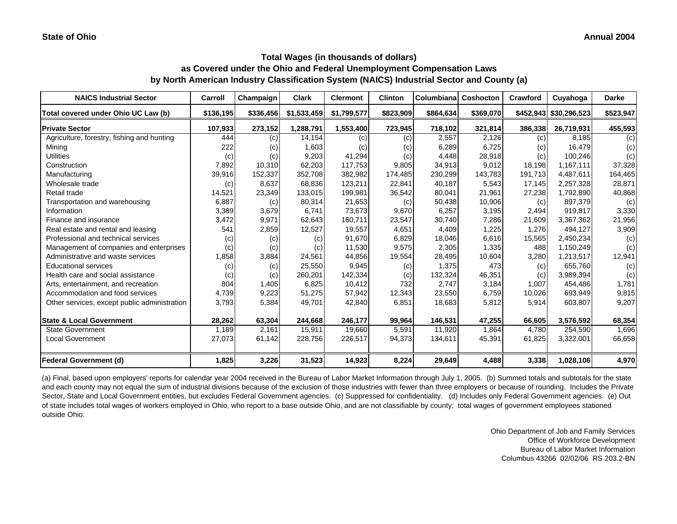| <b>NAICS Industrial Sector</b>               | Carroll   | Champaign | <b>Clark</b>            | <b>Clermont</b> | <b>Clinton</b> | Columbiana | <b>Coshocton</b> | Crawford | Cuyahoga               | <b>Darke</b> |
|----------------------------------------------|-----------|-----------|-------------------------|-----------------|----------------|------------|------------------|----------|------------------------|--------------|
| Total covered under Ohio UC Law (b)          | \$136,195 |           | $$336,456$ $$1,533,459$ | \$1,799,577     | \$823,909      | \$864,634  | \$369,070        |          | \$452,943 \$30,296,523 | \$523,947    |
| <b>Private Sector</b>                        | 107,933   | 273,152   | 1,288,791               | 1,553,400       | 723,945        | 718,102    | 321,814          | 386,338  | 26,719,931             | 455,593      |
| Agriculture, forestry, fishing and hunting   | 444       | (c)       | 14,154                  | (c)             | (c)            | 2,557      | 2.126            | (c)      | 8.185                  | (c)          |
| Mining                                       | 222       | (c)       | 1,603                   | (c)             | (c)            | 6,289      | 6,725            | (c)      | 16,479                 | (c)          |
| <b>Utilities</b>                             | (c)       | (c)       | 9,203                   | 41,294          | (c)            | 4,448      | 28,918           | (c)      | 100,246                | (c)          |
| Construction                                 | 7,892     | 10,310    | 62,203                  | 117,753         | 9,805          | 34,913     | 9,012            | 18,198   | 1,167,111              | 37,328       |
| Manufacturing                                | 39,916    | 152,337   | 352,708                 | 382,982         | 174,485        | 230,299    | 143,783          | 191,713  | 4,487,611              | 164,465      |
| Wholesale trade                              | (c)       | 8,637     | 68,836                  | 123,211         | 22,841         | 40,187     | 5,543            | 17,145   | 2,257,328              | 28,871       |
| Retail trade                                 | 14,521    | 23,349    | 133,015                 | 199,981         | 36,542         | 80,041     | 21,961           | 27,238   | 1,792,890              | 40,868       |
| Transportation and warehousing               | 6,887     | (c)       | 80,314                  | 21,653          | (c)            | 50,438     | 10,906           | (c)      | 897,379                | (c)          |
| Information                                  | 3,389     | 3,679     | 6,741                   | 73,673          | 9,670          | 6,257      | 3,195            | 2,494    | 919,817                | 3,330        |
| Finance and insurance                        | 3,472     | 9,971     | 62,643                  | 160,711         | 23,547         | 30,740     | 7,286            | 21,609   | 3,367,362              | 21,956       |
| Real estate and rental and leasing           | 541       | 2,859     | 12,527                  | 19,557          | 4,651          | 4,409      | 1,225            | 1,276    | 494,127                | 3,909        |
| Professional and technical services          | (c)       | (c)       | (c)                     | 91,670          | 6,829          | 18,046     | 6,616            | 15,565   | 2,450,234              | (c)          |
| Management of companies and enterprises      | (c)       | (c)       | (c)                     | 11,530          | 9,575          | 2,305      | 1,335            | 488      | 1,150,249              | (c)          |
| Administrative and waste services            | 1,858     | 3,884     | 24,561                  | 44,856          | 19,554         | 28,495     | 10,604           | 3,280    | 1,213,517              | 12,941       |
| <b>Educational services</b>                  | (c)       | (c)       | 25,550                  | 9,945           | (c)            | 1,375      | 473              | (c)      | 655,760                | (c)          |
| Health care and social assistance            | (c)       | (c)       | 260,201                 | 142,334         | (c)            | 132,324    | 46,351           | (c)      | 3,989,394              | (c)          |
| Arts, entertainment, and recreation          | 804       | 1,405     | 6,825                   | 10,412          | 732            | 2,747      | 3,184            | 1,007    | 454,486                | 1,781        |
| Accommodation and food services              | 4,739     | 9,223     | 51,275                  | 57,942          | 12,343         | 23,550     | 6,759            | 10,026   | 693,949                | 9,815        |
| Other services, except public administration | 3,793     | 5,384     | 49,701                  | 42,840          | 6,851          | 18,683     | 5,812            | 5,914    | 603,807                | 9,207        |
| <b>State &amp; Local Government</b>          | 28,262    | 63,304    | 244,668                 | 246,177         | 99,964         | 146,531    | 47,255           | 66,605   | 3,576,592              | 68,354       |
| <b>State Government</b>                      | 1.189     | 2.161     | 15,911                  | 19.660          | 5,591          | 11,920     | 1,864            | 4.780    | 254,590                | 1,696        |
| <b>Local Government</b>                      | 27,073    | 61,142    | 228,756                 | 226,517         | 94,373         | 134,611    | 45,391           | 61,825   | 3,322,001              | 66,658       |
| <b>Federal Government (d)</b>                | 1,825     | 3,226     | 31,523                  | 14,923          | 8,224          | 29,649     | 4,488            | 3,338    | 1,028,106              | 4,970        |

(a) Final, based upon employers' reports for calendar year 2004 received in the Bureau of Labor Market Information through July 1, 2005. (b) Summed totals and subtotals for the state and each county may not equal the sum of industrial divisions because of the exclusion of those industries with fewer than three employers or because of rounding. Includes the Private Sector, State and Local Government entities, but excludes Federal Government agencies. (c) Suppressed for confidentiality. (d) Includes only Federal Government agencies. (e) Out of state includes total wages of workers employed in Ohio, who report to a base outside Ohio, and are not classifiable by county; total wages of government employees stationed outside Ohio.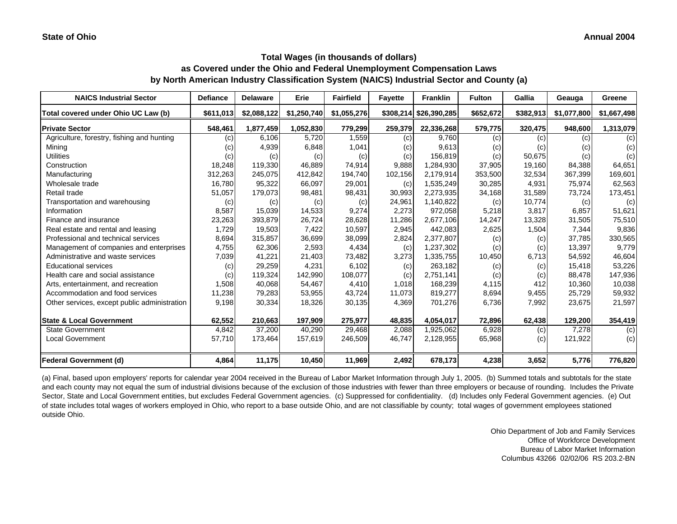| <b>NAICS Industrial Sector</b>               | <b>Defiance</b> | <b>Delaware</b> | Erie        | <b>Fairfield</b> | <b>Fayette</b> | <b>Franklin</b>        | <b>Fulton</b> | Gallia    | Geauga      | Greene      |
|----------------------------------------------|-----------------|-----------------|-------------|------------------|----------------|------------------------|---------------|-----------|-------------|-------------|
| Total covered under Ohio UC Law (b)          | \$611,013       | \$2,088,122     | \$1,250,740 | \$1,055,276      |                | \$308,214 \$26,390,285 | \$652,672     | \$382,913 | \$1,077,800 | \$1,667,498 |
| <b>Private Sector</b>                        | 548,461         | 1,877,459       | 1,052,830   | 779,299          | 259,379        | 22,336,268             | 579,775       | 320,475   | 948,600     | 1,313,079   |
| Agriculture, forestry, fishing and hunting   | (c)             | 6.106           | 5,720       | 1,559            | (c)            | 9.760                  | (c)           | (c)       | (c)         | (c)         |
| Mining                                       | (C)             | 4,939           | 6,848       | 1,041            | (c)            | 9,613                  | (c)           | (c)       | (c)         | (c)         |
| <b>Utilities</b>                             | (c)             | (c)             | (c)         | (c)              | (c)            | 156,819                | (c)           | 50,675    | (c)         | (c)         |
| Construction                                 | 18,248          | 119,330         | 46,889      | 74,914           | 9,888          | 1,284,930              | 37,905        | 19,160    | 84,388      | 64,651      |
| Manufacturing                                | 312,263         | 245,075         | 412,842     | 194,740          | 102,156        | 2,179,914              | 353,500       | 32,534    | 367,399     | 169,601     |
| Wholesale trade                              | 16,780          | 95,322          | 66,097      | 29,001           | (c)            | 1,535,249              | 30,285        | 4,931     | 75,974      | 62,563      |
| Retail trade                                 | 51,057          | 179,073         | 98,481      | 98,431           | 30,993         | 2,273,935              | 34,168        | 31,589    | 73,724      | 173,451     |
| Transportation and warehousing               | (c)             | (c)             | (c)         | (c)              | 24,961         | 1,140,822              | (c)           | 10,774    | (c)         | (c)         |
| Information                                  | 8,587           | 15,039          | 14,533      | 9,274            | 2,273          | 972,058                | 5,218         | 3,817     | 6,857       | 51,621      |
| Finance and insurance                        | 23,263          | 393,879         | 26,724      | 28,628           | 11,286         | 2,677,106              | 14,247        | 13,328    | 31,505      | 75,510      |
| Real estate and rental and leasing           | 1,729           | 19,503          | 7,422       | 10,597           | 2,945          | 442,083                | 2,625         | 1,504     | 7,344       | 9,836       |
| Professional and technical services          | 8,694           | 315,857         | 36,699      | 38,099           | 2,824          | 2,377,807              | (c)           | (c)       | 37,785      | 330,565     |
| Management of companies and enterprises      | 4,755           | 62,306          | 2,593       | 4,434            | (c)            | 1,237,302              | (c)           | (c)       | 13,397      | 9,779       |
| Administrative and waste services            | 7,039           | 41,221          | 21,403      | 73,482           | 3,273          | 1,335,755              | 10,450        | 6,713     | 54,592      | 46,604      |
| <b>Educational services</b>                  | (c)             | 29,259          | 4,231       | 6,102            | (c)            | 263,182                | (c)           | (c)       | 15,418      | 53,226      |
| Health care and social assistance            | (c)             | 119,324         | 142,990     | 108,077          | (c)            | 2,751,141              | (c)           | (c)       | 88,478      | 147,936     |
| Arts, entertainment, and recreation          | 1,508           | 40,068          | 54,467      | 4,410            | 1,018          | 168,239                | 4,115         | 412       | 10,360      | 10,038      |
| Accommodation and food services              | 11,238          | 79,283          | 53,955      | 43,724           | 11,073         | 819,277                | 8,694         | 9,455     | 25,729      | 59,932      |
| Other services, except public administration | 9,198           | 30,334          | 18,326      | 30,135           | 4,369          | 701,276                | 6,736         | 7,992     | 23,675      | 21,597      |
| <b>State &amp; Local Government</b>          | 62,552          | 210,663         | 197,909     | 275,977          | 48,835         | 4,054,017              | 72,896        | 62,438    | 129,200     | 354,419     |
| <b>State Government</b>                      | 4,842           | 37,200          | 40,290      | 29,468           | 2,088          | 1,925,062              | 6,928         | (c)       | 7,278       | (c)         |
| Local Government                             | 57,710          | 173,464         | 157,619     | 246,509          | 46,747         | 2,128,955              | 65,968        | (c)       | 121,922     | (c)         |
| <b>Federal Government (d)</b>                | 4,864           | 11,175          | 10,450      | 11,969           | 2,492          | 678,173                | 4,238         | 3,652     | 5,776       | 776,820     |

(a) Final, based upon employers' reports for calendar year 2004 received in the Bureau of Labor Market Information through July 1, 2005. (b) Summed totals and subtotals for the state and each county may not equal the sum of industrial divisions because of the exclusion of those industries with fewer than three employers or because of rounding. Includes the Private Sector, State and Local Government entities, but excludes Federal Government agencies. (c) Suppressed for confidentiality. (d) Includes only Federal Government agencies. (e) Out of state includes total wages of workers employed in Ohio, who report to a base outside Ohio, and are not classifiable by county; total wages of government employees stationed outside Ohio.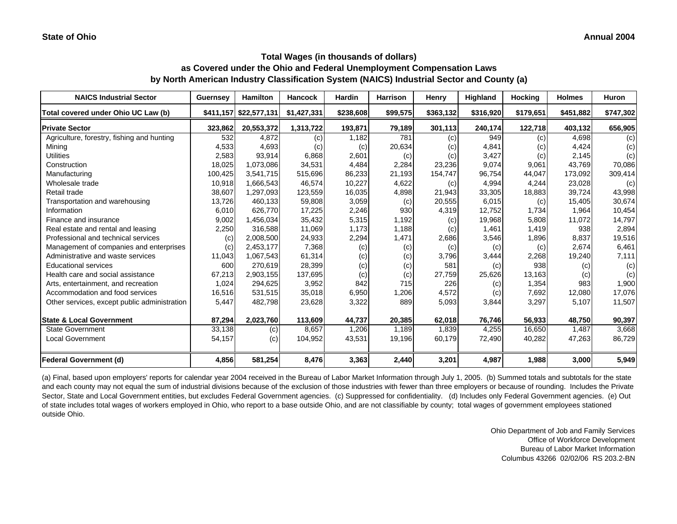| <b>NAICS Industrial Sector</b>               | <b>Guernsey</b> | <b>Hamilton</b>        | <b>Hancock</b> | <b>Hardin</b> | <b>Harrison</b> | Henry     | <b>Highland</b> | <b>Hocking</b> | <b>Holmes</b> | <b>Huron</b> |
|----------------------------------------------|-----------------|------------------------|----------------|---------------|-----------------|-----------|-----------------|----------------|---------------|--------------|
| Total covered under Ohio UC Law (b)          |                 | \$411,157 \$22,577,131 | \$1,427,331    | \$238,608     | \$99,575        | \$363,132 | \$316,920       | \$179,651      | \$451,882     | \$747,302    |
| <b>Private Sector</b>                        | 323,862         | 20,553,372             | 1,313,722      | 193,871       | 79,189          | 301,113   | 240,174         | 122,718        | 403,132       | 656,905      |
| Agriculture, forestry, fishing and hunting   | 532             | 4,872                  | (c)            | 1,182         | 781             | (c)       | 949             | (c)            | 4,698         | (c)          |
| Mining                                       | 4,533           | 4,693                  | (c)            | (c)           | 20,634          | (c)       | 4,841           | (c)            | 4,424         | (c)          |
| <b>Utilities</b>                             | 2,583           | 93,914                 | 6,868          | 2,601         | (c)             | (c)       | 3,427           | (c)            | 2,145         | (c)          |
| Construction                                 | 18,025          | 1,073,086              | 34,531         | 4,484         | 2,284           | 23,236    | 9,074           | 9,061          | 43,769        | 70,086       |
| Manufacturing                                | 100,425         | 3,541,715              | 515,696        | 86,233        | 21,193          | 154,747   | 96,754          | 44,047         | 173,092       | 309,414      |
| Wholesale trade                              | 10,918          | 1,666,543              | 46,574         | 10,227        | 4,622           | (c)       | 4,994           | 4,244          | 23,028        | (c)          |
| Retail trade                                 | 38,607          | 1,297,093              | 123,559        | 16,035        | 4,898           | 21,943    | 33,305          | 18,883         | 39,724        | 43,998       |
| Transportation and warehousing               | 13,726          | 460.133                | 59,808         | 3,059         | (c)             | 20,555    | 6,015           | (c)            | 15,405        | 30,674       |
| Information                                  | 6,010           | 626,770                | 17,225         | 2,246         | 930             | 4,319     | 12,752          | 1,734          | 1,964         | 10,454       |
| Finance and insurance                        | 9,002           | 1,456,034              | 35,432         | 5,315         | 1,192           | (c)       | 19,968          | 5,808          | 11,072        | 14,797       |
| Real estate and rental and leasing           | 2,250           | 316,588                | 11,069         | 1,173         | 1,188           | (c)       | 1,461           | 1,419          | 938           | 2,894        |
| Professional and technical services          | (c)             | 2,008,500              | 24,933         | 2,294         | 1,471           | 2,686     | 3,546           | 1,896          | 8,837         | 19,516       |
| Management of companies and enterprises      | (c)             | 2,453,177              | 7,368          | (c)           | (c)             | (c)       | (c)             | (c)            | 2,674         | 6,461        |
| Administrative and waste services            | 11,043          | 1,067,543              | 61,314         | (c)           | (c)             | 3,796     | 3,444           | 2,268          | 19,240        | 7,111        |
| <b>Educational services</b>                  | 600             | 270,619                | 28,399         | (c)           | (c)             | 581       | (c)             | 938            | (c)           | (c)          |
| Health care and social assistance            | 67,213          | 2,903,155              | 137,695        | (c)           | (c)             | 27,759    | 25,626          | 13,163         | (c)           | (c)          |
| Arts, entertainment, and recreation          | 1,024           | 294,625                | 3,952          | 842           | 715             | 226       | (c)             | 1,354          | 983           | 1,900        |
| Accommodation and food services              | 16,516          | 531,515                | 35,018         | 6,950         | 1,206           | 4,572     | (c)             | 7,692          | 12,080        | 17,076       |
| Other services, except public administration | 5,447           | 482,798                | 23,628         | 3,322         | 889             | 5,093     | 3,844           | 3,297          | 5,107         | 11,507       |
| <b>State &amp; Local Government</b>          | 87,294          | 2,023,760              | 113,609        | 44,737        | 20,385          | 62,018    | 76,746          | 56,933         | 48,750        | 90,397       |
| <b>State Government</b>                      | 33,138          | (c)                    | 8.657          | 1,206         | 1,189           | 1.839     | 4,255           | 16,650         | 1,487         | 3,668        |
| <b>Local Government</b>                      | 54,157          | (c)                    | 104,952        | 43,531        | 19,196          | 60,179    | 72,490          | 40,282         | 47,263        | 86,729       |
| <b>Federal Government (d)</b>                | 4,856           | 581,254                | 8,476          | 3,363         | 2,440           | 3,201     | 4,987           | 1,988          | 3,000         | 5,949        |

(a) Final, based upon employers' reports for calendar year 2004 received in the Bureau of Labor Market Information through July 1, 2005. (b) Summed totals and subtotals for the state and each county may not equal the sum of industrial divisions because of the exclusion of those industries with fewer than three employers or because of rounding. Includes the Private Sector, State and Local Government entities, but excludes Federal Government agencies. (c) Suppressed for confidentiality. (d) Includes only Federal Government agencies. (e) Out of state includes total wages of workers employed in Ohio, who report to a base outside Ohio, and are not classifiable by county; total wages of government employees stationed outside Ohio.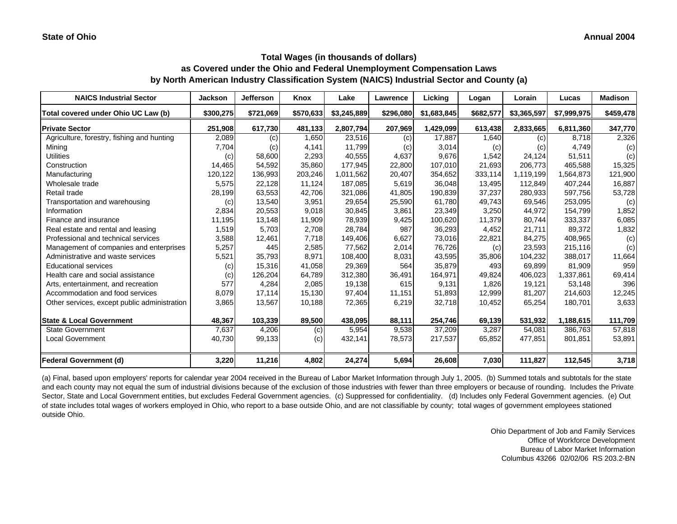| <b>NAICS Industrial Sector</b>               | <b>Jackson</b> | <b>Jefferson</b> | Knox      | Lake        | Lawrence  | Lickina     | Logan     | Lorain      | Lucas       | <b>Madison</b> |
|----------------------------------------------|----------------|------------------|-----------|-------------|-----------|-------------|-----------|-------------|-------------|----------------|
| Total covered under Ohio UC Law (b)          | \$300,275      | \$721,069        | \$570,633 | \$3,245,889 | \$296,080 | \$1,683,845 | \$682,577 | \$3,365,597 | \$7,999,975 | \$459,478      |
| <b>Private Sector</b>                        | 251,908        | 617,730          | 481,133   | 2,807,794   | 207,969   | 1,429,099   | 613,438   | 2,833,665   | 6,811,360   | 347,770        |
| Agriculture, forestry, fishing and hunting   | 2,089          | (c)              | 1,650     | 23,516      | (c)       | 17,887      | 1,640     | (c)         | 8,718       | 2,326          |
| Mining                                       | 7,704          | (c)              | 4,141     | 11,799      | (c)       | 3,014       | (c)       | (c)         | 4,749       | (c)            |
| <b>Utilities</b>                             | (c)            | 58,600           | 2,293     | 40,555      | 4,637     | 9,676       | 1,542     | 24,124      | 51,511      | (c)            |
| Construction                                 | 14,465         | 54,592           | 35,860    | 177.945     | 22,800    | 107,010     | 21,693    | 206.773     | 465.588     | 15,325         |
| Manufacturing                                | 120,122        | 136,993          | 203,246   | 1,011,562   | 20,407    | 354,652     | 333,114   | 1,119,199   | 1,564,873   | 121,900        |
| Wholesale trade                              | 5,575          | 22,128           | 11,124    | 187,085     | 5,619     | 36,048      | 13,495    | 112,849     | 407,244     | 16,887         |
| Retail trade                                 | 28,199         | 63,553           | 42,706    | 321,086     | 41,805    | 190,839     | 37,237    | 280,933     | 597,756     | 53,728         |
| Transportation and warehousing               | (c)            | 13,540           | 3,951     | 29,654      | 25,590    | 61,780      | 49,743    | 69,546      | 253,095     | (c)            |
| Information                                  | 2,834          | 20,553           | 9,018     | 30,845      | 3,861     | 23,349      | 3,250     | 44,972      | 154,799     | 1,852          |
| Finance and insurance                        | 11,195         | 13,148           | 11,909    | 78,939      | 9,425     | 100,620     | 11,379    | 80,744      | 333,337     | 6,085          |
| Real estate and rental and leasing           | 1,519          | 5,703            | 2,708     | 28,784      | 987       | 36,293      | 4,452     | 21,711      | 89,372      | 1,832          |
| Professional and technical services          | 3,588          | 12,461           | 7,718     | 149,406     | 6,627     | 73,016      | 22,821    | 84,275      | 408,965     | (c)            |
| Management of companies and enterprises      | 5,257          | 445              | 2,585     | 77,562      | 2,014     | 76,726      | (c)       | 23,593      | 215,116     | (c)            |
| Administrative and waste services            | 5,521          | 35,793           | 8,971     | 108,400     | 8,031     | 43,595      | 35,806    | 104,232     | 388,017     | 11,664         |
| <b>Educational services</b>                  | (c)            | 15,316           | 41,058    | 29,369      | 564       | 35,879      | 493       | 69,899      | 81,909      | 959            |
| Health care and social assistance            | (c)            | 126,204          | 64,789    | 312,380     | 36,491    | 164,971     | 49,824    | 406,023     | 1,337,861   | 69,414         |
| Arts, entertainment, and recreation          | 577            | 4,284            | 2,085     | 19,138      | 615       | 9,131       | 1,826     | 19.121      | 53,148      | 396            |
| Accommodation and food services              | 8,079          | 17,114           | 15,130    | 97,404      | 11,151    | 51,893      | 12,999    | 81,207      | 214,603     | 12,245         |
| Other services, except public administration | 3,865          | 13,567           | 10,188    | 72,365      | 6,219     | 32,718      | 10,452    | 65,254      | 180,701     | 3,633          |
| <b>State &amp; Local Government</b>          | 48,367         | 103,339          | 89,500    | 438,095     | 88,111    | 254,746     | 69,139    | 531,932     | 1,188,615   | 111,709        |
| <b>State Government</b>                      | 7,637          | 4,206            | (c)       | 5,954       | 9,538     | 37,209      | 3,287     | 54,081      | 386,763     | 57,818         |
| <b>Local Government</b>                      | 40,730         | 99,133           | (c)       | 432,141     | 78,573    | 217,537     | 65,852    | 477,851     | 801,851     | 53,891         |
| <b>Federal Government (d)</b>                | 3,220          | 11,216           | 4,802     | 24,274      | 5,694     | 26,608      | 7,030     | 111,827     | 112,545     | 3,718          |

(a) Final, based upon employers' reports for calendar year 2004 received in the Bureau of Labor Market Information through July 1, 2005. (b) Summed totals and subtotals for the state and each county may not equal the sum of industrial divisions because of the exclusion of those industries with fewer than three employers or because of rounding. Includes the Private Sector, State and Local Government entities, but excludes Federal Government agencies. (c) Suppressed for confidentiality. (d) Includes only Federal Government agencies. (e) Out of state includes total wages of workers employed in Ohio, who report to a base outside Ohio, and are not classifiable by county; total wages of government employees stationed outside Ohio.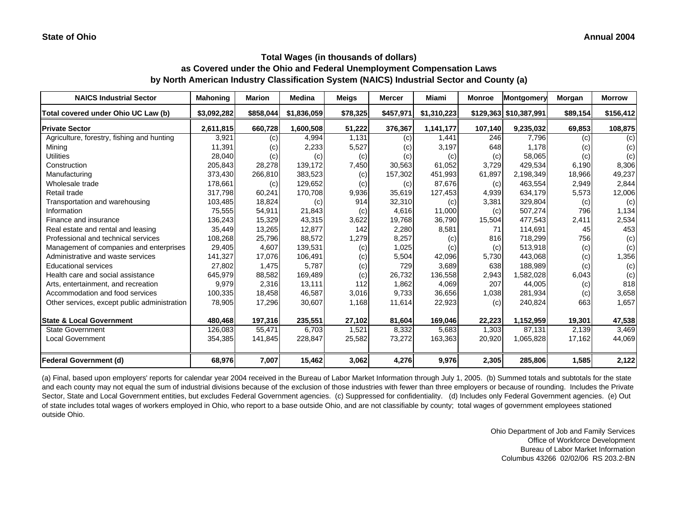| <b>NAICS Industrial Sector</b>               | <b>Mahoning</b> | <b>Marion</b> | <b>Medina</b> | <b>Meigs</b> | <b>Mercer</b> | Miami       | <b>Monroe</b> | Montgomery             | Morgan   | <b>Morrow</b> |
|----------------------------------------------|-----------------|---------------|---------------|--------------|---------------|-------------|---------------|------------------------|----------|---------------|
| Total covered under Ohio UC Law (b)          | \$3,092,282     | \$858,044     | \$1,836,059   | \$78,325     | \$457,971     | \$1,310,223 |               | \$129,363 \$10,387,991 | \$89,154 | \$156,412     |
| <b>Private Sector</b>                        | 2,611,815       | 660,728       | 1,600,508     | 51,222       | 376,367       | 1,141,177   | 107,140       | 9,235,032              | 69,853   | 108,875       |
| Agriculture, forestry, fishing and hunting   | 3,921           | (c)           | 4,994         | 1,131        | (c)           | 1.441       | 246           | 7.796                  | (c)      | (c)           |
| Mining                                       | 11,391          | (c)           | 2,233         | 5,527        | (c)           | 3,197       | 648           | 1,178                  | (c)      | (c)           |
| <b>Utilities</b>                             | 28,040          | (c)           | (c)           | (c)          | (c)           | (c)         | (c)           | 58,065                 | (c)      | (c)           |
| Construction                                 | 205,843         | 28,278        | 139,172       | 7,450        | 30,563        | 61,052      | 3,729         | 429,534                | 6,190    | 8,306         |
| Manufacturing                                | 373,430         | 266,810       | 383,523       | (c)          | 157,302       | 451,993     | 61,897        | 2,198,349              | 18,966   | 49,237        |
| Wholesale trade                              | 178,661         | (c)           | 129,652       | (c)          | (c)           | 87,676      | (c)           | 463,554                | 2,949    | 2,844         |
| Retail trade                                 | 317,798         | 60,241        | 170,708       | 9,936        | 35,619        | 127,453     | 4,939         | 634,179                | 5,573    | 12,006        |
| Transportation and warehousing               | 103,485         | 18,824        | (c)           | 914          | 32,310        | (c)         | 3,381         | 329,804                | (c)      | (c)           |
| Information                                  | 75,555          | 54,911        | 21,843        | (c)          | 4,616         | 11,000      | (c)           | 507,274                | 796      | 1,134         |
| Finance and insurance                        | 136,243         | 15,329        | 43,315        | 3,622        | 19,768        | 36,790      | 15,504        | 477,543                | 2,411    | 2,534         |
| Real estate and rental and leasing           | 35,449          | 13,265        | 12,877        | 142          | 2,280         | 8,581       | 71            | 114,691                | 45       | 453           |
| Professional and technical services          | 108,268         | 25,796        | 88,572        | 1,279        | 8,257         | (c)         | 816           | 718,299                | 756      | (c)           |
| Management of companies and enterprises      | 29,405          | 4,607         | 139,531       | (c)          | 1,025         | (c)         | (c)           | 513,918                | (c)      | (c)           |
| Administrative and waste services            | 141,327         | 17,076        | 106,491       | (c)          | 5,504         | 42,096      | 5,730         | 443,068                | (c)      | 1,356         |
| <b>Educational services</b>                  | 27,802          | 1,475         | 5,787         | (c)          | 729           | 3,689       | 638           | 188,989                | (c)      | (c)           |
| Health care and social assistance            | 645,979         | 88,582        | 169,489       | (c)          | 26,732        | 136,558     | 2,943         | 1,582,028              | 6,043    | (c)           |
| Arts, entertainment, and recreation          | 9,979           | 2,316         | 13,111        | 112          | 1,862         | 4,069       | 207           | 44,005                 | (c)      | 818           |
| Accommodation and food services              | 100,335         | 18,458        | 46,587        | 3,016        | 9,733         | 36,656      | 1,038         | 281,934                | (c)      | 3,658         |
| Other services, except public administration | 78,905          | 17,296        | 30,607        | 1,168        | 11,614        | 22,923      | (c)           | 240,824                | 663      | 1,657         |
| <b>State &amp; Local Government</b>          | 480,468         | 197,316       | 235,551       | 27,102       | 81,604        | 169,046     | 22,223        | 1,152,959              | 19,301   | 47,538        |
| <b>State Government</b>                      | 126,083         | 55.471        | 6.703         | 1,521        | 8,332         | 5,683       | 1,303         | 87.131                 | 2.139    | 3,469         |
| Local Government                             | 354,385         | 141,845       | 228,847       | 25,582       | 73,272        | 163,363     | 20,920        | 1,065,828              | 17,162   | 44,069        |
| <b>Federal Government (d)</b>                | 68,976          | 7,007         | 15,462        | 3,062        | 4,276         | 9,976       | 2,305         | 285,806                | 1,585    | 2,122         |

(a) Final, based upon employers' reports for calendar year 2004 received in the Bureau of Labor Market Information through July 1, 2005. (b) Summed totals and subtotals for the state and each county may not equal the sum of industrial divisions because of the exclusion of those industries with fewer than three employers or because of rounding. Includes the Private Sector, State and Local Government entities, but excludes Federal Government agencies. (c) Suppressed for confidentiality. (d) Includes only Federal Government agencies. (e) Out of state includes total wages of workers employed in Ohio, who report to a base outside Ohio, and are not classifiable by county; total wages of government employees stationed outside Ohio.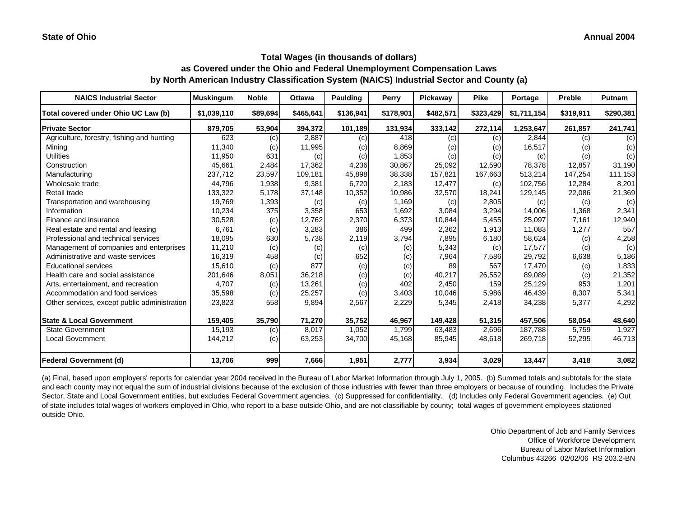| <b>NAICS Industrial Sector</b>               | <b>Muskingum</b> | <b>Noble</b> | <b>Ottawa</b> | Paulding  | Perry     | Pickawav  | <b>Pike</b> | Portage     | Preble    | <b>Putnam</b> |
|----------------------------------------------|------------------|--------------|---------------|-----------|-----------|-----------|-------------|-------------|-----------|---------------|
| Total covered under Ohio UC Law (b)          | \$1,039,110      | \$89,694     | \$465,641     | \$136,941 | \$178,901 | \$482,571 | \$323,429   | \$1,711,154 | \$319,911 | \$290,381     |
| <b>Private Sector</b>                        | 879,705          | 53,904       | 394,372       | 101,189   | 131,934   | 333,142   | 272,114     | 1,253,647   | 261,857   | 241,741       |
| Agriculture, forestry, fishing and hunting   | 623              | (c)          | 2,887         | (c)       | 418       | (c)       | (c)         | 2,844       | (c)       | (c)           |
| Mining                                       | 11,340           | (c)          | 11,995        | (c)       | 8,869     | (C)       | (c)         | 16,517      | (c)       | (c)           |
| <b>Utilities</b>                             | 11,950           | 631          | (c)           | (c)       | 1,853     | (c)       | (c)         | (c)         | (c)       | (c)           |
| Construction                                 | 45,661           | 2,484        | 17,362        | 4,236     | 30,867    | 25,092    | 12,590      | 78,378      | 12,857    | 31,190        |
| Manufacturing                                | 237,712          | 23,597       | 109,181       | 45,898    | 38,338    | 157,821   | 167,663     | 513,214     | 147,254   | 111,153       |
| Wholesale trade                              | 44,796           | 1,938        | 9,381         | 6,720     | 2,183     | 12,477    | (c)         | 102,756     | 12,284    | 8,201         |
| Retail trade                                 | 133,322          | 5,178        | 37,148        | 10,352    | 10,986    | 32,570    | 18,241      | 129,145     | 22,086    | 21,369        |
| Transportation and warehousing               | 19,769           | 1,393        | (c)           | (c)       | 1,169     | (c)       | 2,805       | (c)         | (c)       | (c)           |
| Information                                  | 10,234           | 375          | 3,358         | 653       | 1,692     | 3,084     | 3,294       | 14,006      | 1,368     | 2,341         |
| Finance and insurance                        | 30,528           | (c)          | 12,762        | 2,370     | 6,373     | 10,844    | 5,455       | 25,097      | 7,161     | 12,940        |
| Real estate and rental and leasing           | 6,761            | (c)          | 3,283         | 386       | 499       | 2,362     | 1,913       | 11,083      | 1,277     | 557           |
| Professional and technical services          | 18,095           | 630          | 5,738         | 2,119     | 3,794     | 7,895     | 6,180       | 58,624      | (c)       | 4,258         |
| Management of companies and enterprises      | 11,210           | (c)          | (c)           | (c)       | (c)       | 5,343     | (c)         | 17,577      | (c)       | (c)           |
| Administrative and waste services            | 16,319           | 458          | (c)           | 652       | (c)       | 7,964     | 7,586       | 29,792      | 6,638     | 5,186         |
| <b>Educational services</b>                  | 15,610           | (c)          | 877           | (c)       | (c)       | 89        | 567         | 17,470      | (c)       | 1,833         |
| Health care and social assistance            | 201,646          | 8,051        | 36,218        | (c)       | (c)       | 40,217    | 26,552      | 89,089      | (c)       | 21,352        |
| Arts, entertainment, and recreation          | 4.707            | (c)          | 13,261        | (c)       | 402       | 2,450     | 159         | 25,129      | 953       | 1,201         |
| Accommodation and food services              | 35,598           | (c)          | 25,257        | (c)       | 3,403     | 10,046    | 5,986       | 46,439      | 8,307     | 5,341         |
| Other services, except public administration | 23,823           | 558          | 9,894         | 2,567     | 2,229     | 5,345     | 2,418       | 34,238      | 5,377     | 4,292         |
| <b>State &amp; Local Government</b>          | 159,405          | 35,790       | 71,270        | 35,752    | 46,967    | 149,428   | 51,315      | 457,506     | 58,054    | 48,640        |
| <b>State Government</b>                      | 15,193           | (c)          | 8,017         | 1,052     | 1,799     | 63,483    | 2,696       | 187,788     | 5,759     | 1,927         |
| <b>Local Government</b>                      | 144,212          | (c)          | 63,253        | 34,700    | 45,168    | 85,945    | 48,618      | 269,718     | 52,295    | 46,713        |
| <b>Federal Government (d)</b>                | 13,706           | 999          | 7,666         | 1,951     | 2,777     | 3,934     | 3,029       | 13,447      | 3,418     | 3,082         |

(a) Final, based upon employers' reports for calendar year 2004 received in the Bureau of Labor Market Information through July 1, 2005. (b) Summed totals and subtotals for the state and each county may not equal the sum of industrial divisions because of the exclusion of those industries with fewer than three employers or because of rounding. Includes the Private Sector, State and Local Government entities, but excludes Federal Government agencies. (c) Suppressed for confidentiality. (d) Includes only Federal Government agencies. (e) Out of state includes total wages of workers employed in Ohio, who report to a base outside Ohio, and are not classifiable by county; total wages of government employees stationed outside Ohio.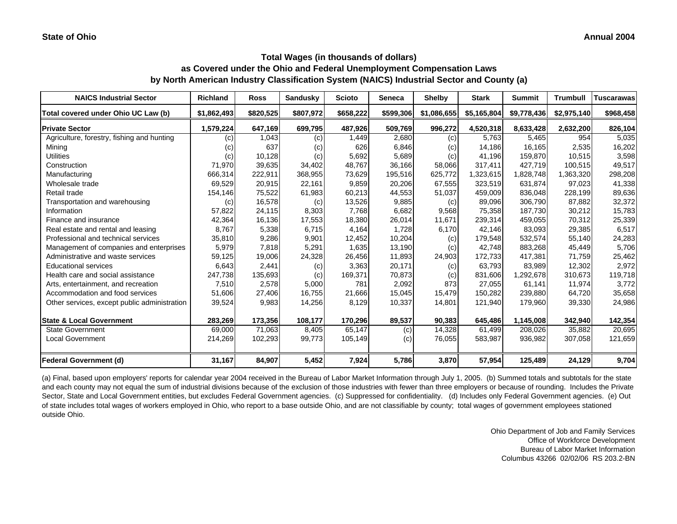| <b>NAICS Industrial Sector</b>               | <b>Richland</b>            | <b>Ross</b> | <b>Sandusky</b> | <b>Scioto</b> | <b>Seneca</b> | <b>Shelby</b> | <b>Stark</b> | <b>Summit</b> | <b>Trumbull</b> | <b>Tuscarawas</b> |
|----------------------------------------------|----------------------------|-------------|-----------------|---------------|---------------|---------------|--------------|---------------|-----------------|-------------------|
| Total covered under Ohio UC Law (b)          | \$1,862,493                | \$820,525   | \$807,972       | \$658,222     | \$599,306     | \$1,086,655   | \$5,165,804  | \$9,778,436   | \$2,975,140     | \$968,458         |
| <b>Private Sector</b>                        | 1,579,224                  | 647,169     | 699,795         | 487,926       | 509,769       | 996,272       | 4,520,318    | 8,633,428     | 2,632,200       | 826,104           |
| Agriculture, forestry, fishing and hunting   | (c)                        | 1,043       | (c)             | 1,449         | 2,680         | (c)           | 5,763        | 5,465         | 954             | 5,035             |
| Mining                                       | $\left( \mathrm{c}\right)$ | 637         | (c)             | 626           | 6,846         | (c)           | 14,186       | 16,165        | 2,535           | 16,202            |
| <b>Utilities</b>                             | (c)                        | 10,128      | (c)             | 5,692         | 5,689         | (c)           | 41.196       | 159,870       | 10,515          | 3,598             |
| Construction                                 | 71,970                     | 39,635      | 34,402          | 48,767        | 36,166        | 58,066        | 317,411      | 427,719       | 100,515         | 49,517            |
| Manufacturing                                | 666,314                    | 222,911     | 368,955         | 73,629        | 195,516       | 625,772       | 1,323,615    | 1,828,748     | 1,363,320       | 298,208           |
| Wholesale trade                              | 69,529                     | 20,915      | 22,161          | 9,859         | 20,206        | 67,555        | 323,519      | 631,874       | 97,023          | 41,338            |
| Retail trade                                 | 154,146                    | 75,522      | 61,983          | 60,213        | 44,553        | 51,037        | 459,009      | 836,048       | 228,199         | 89,636            |
| Transportation and warehousing               | (c)                        | 16,578      | (c)             | 13,526        | 9,885         | (c)           | 89,096       | 306,790       | 87,882          | 32,372            |
| Information                                  | 57,822                     | 24,115      | 8,303           | 7,768         | 6,682         | 9,568         | 75,358       | 187,730       | 30,212          | 15,783            |
| Finance and insurance                        | 42,364                     | 16,136      | 17,553          | 18,380        | 26,014        | 11,671        | 239,314      | 459,055       | 70,312          | 25,339            |
| Real estate and rental and leasing           | 8,767                      | 5,338       | 6,715           | 4,164         | 1,728         | 6,170         | 42.146       | 83,093        | 29,385          | 6,517             |
| Professional and technical services          | 35,810                     | 9,286       | 9,901           | 12,452        | 10,204        | (c)           | 179,548      | 532,574       | 55,140          | 24,283            |
| Management of companies and enterprises      | 5,979                      | 7,818       | 5,291           | 1,635         | 13,190        | (c)           | 42,748       | 883,268       | 45,449          | 5,706             |
| Administrative and waste services            | 59,125                     | 19,006      | 24,328          | 26,456        | 11,893        | 24,903        | 172,733      | 417,381       | 71,759          | 25,462            |
| <b>Educational services</b>                  | 6,643                      | 2,441       | (c)             | 3,363         | 20,171        | (c)           | 63,793       | 83,989        | 12,302          | 2,972             |
| Health care and social assistance            | 247,738                    | 135,693     | (c)             | 169,371       | 70,873        | (c)           | 831,606      | 1,292,678     | 310,673         | 119,718           |
| Arts, entertainment, and recreation          | 7,510                      | 2,578       | 5,000           | 781           | 2,092         | 873           | 27,055       | 61,141        | 11,974          | 3,772             |
| Accommodation and food services              | 51,606                     | 27,406      | 16,755          | 21,666        | 15,045        | 15,479        | 150,282      | 239,880       | 64,720          | 35,658            |
| Other services, except public administration | 39,524                     | 9,983       | 14,256          | 8,129         | 10,337        | 14,801        | 121,940      | 179,960       | 39,330          | 24,986            |
| <b>State &amp; Local Government</b>          | 283,269                    | 173,356     | 108,177         | 170,296       | 89,537        | 90,383        | 645,486      | 1,145,008     | 342,940         | 142,354           |
| <b>State Government</b>                      | 69,000                     | 71,063      | 8,405           | 65,147        | (c)           | 14,328        | 61,499       | 208,026       | 35,882          | 20,695            |
| Local Government                             | 214,269                    | 102,293     | 99,773          | 105,149       | (c)           | 76,055        | 583,987      | 936,982       | 307,058         | 121,659           |
| <b>Federal Government (d)</b>                | 31,167                     | 84,907      | 5,452           | 7,924         | 5,786         | 3,870         | 57,954       | 125,489       | 24,129          | 9,704             |

(a) Final, based upon employers' reports for calendar year 2004 received in the Bureau of Labor Market Information through July 1, 2005. (b) Summed totals and subtotals for the state and each county may not equal the sum of industrial divisions because of the exclusion of those industries with fewer than three employers or because of rounding. Includes the Private Sector, State and Local Government entities, but excludes Federal Government agencies. (c) Suppressed for confidentiality. (d) Includes only Federal Government agencies. (e) Out of state includes total wages of workers employed in Ohio, who report to a base outside Ohio, and are not classifiable by county; total wages of government employees stationed outside Ohio.